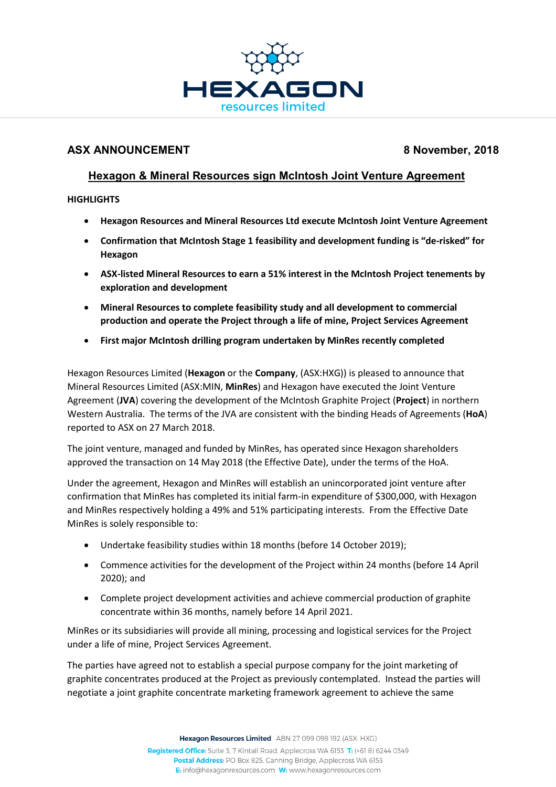

## **ASX ANNOUNCEMENT 8 November, 2018**

# **Hexagon & Mineral Resources sign McIntosh Joint Venture Agreement**

**HIGHLIGHTS**

- **Hexagon Resources and Mineral Resources Ltd execute McIntosh Joint Venture Agreement**
- **Confirmation that McIntosh Stage 1 feasibility and development funding is "de-risked" for Hexagon**
- **ASX-listed Mineral Resources to earn a 51% interest in the McIntosh Project tenements by exploration and development**
- **Mineral Resources to complete feasibility study and all development to commercial production and operate the Project through a life of mine, Project Services Agreement**
- **First major McIntosh drilling program undertaken by MinRes recently completed**

Hexagon Resources Limited (**Hexagon** or the **Company**, (ASX:HXG)) is pleased to announce that Mineral Resources Limited (ASX:MIN, **MinRes**) and Hexagon have executed the Joint Venture Agreement (**JVA**) covering the development of the McIntosh Graphite Project (**Project**) in northern Western Australia. The terms of the JVA are consistent with the binding Heads of Agreements (**HoA**) reported to ASX on 27 March 2018.

The joint venture, managed and funded by MinRes, has operated since Hexagon shareholders approved the transaction on 14 May 2018 (the Effective Date), under the terms of the HoA.

Under the agreement, Hexagon and MinRes will establish an unincorporated joint venture after confirmation that MinRes has completed its initial farm-in expenditure of \$300,000, with Hexagon and MinRes respectively holding a 49% and 51% participating interests. From the Effective Date MinRes is solely responsible to:

- Undertake feasibility studies within 18 months (before 14 October 2019);
- Commence activities for the development of the Project within 24 months (before 14 April 2020); and
- Complete project development activities and achieve commercial production of graphite concentrate within 36 months, namely before 14 April 2021.

MinRes or its subsidiaries will provide all mining, processing and logistical services for the Project under a life of mine, Project Services Agreement.

The parties have agreed not to establish a special purpose company for the joint marketing of graphite concentrates produced at the Project as previously contemplated. Instead the parties will negotiate a joint graphite concentrate marketing framework agreement to achieve the same

Hexagon Resources Limited ABN 27 099 098 192 (ASX: HXG)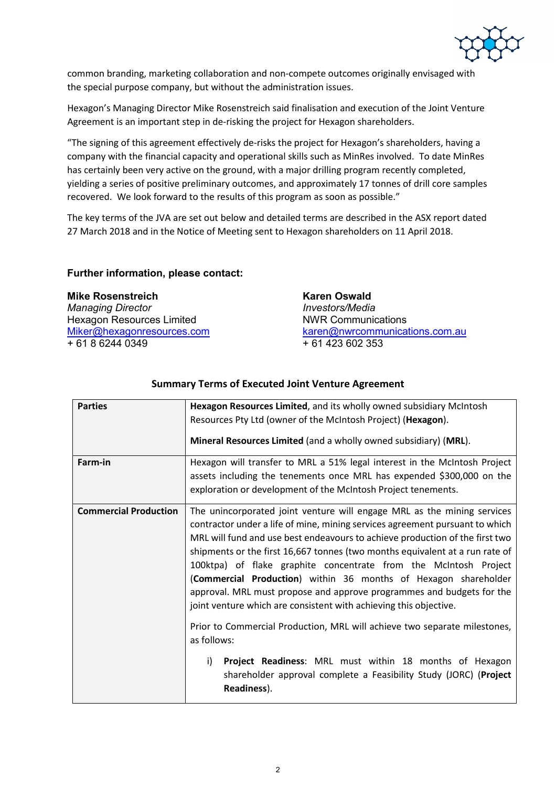

common branding, marketing collaboration and non-compete outcomes originally envisaged with the special purpose company, but without the administration issues.

Hexagon's Managing Director Mike Rosenstreich said finalisation and execution of the Joint Venture Agreement is an important step in de-risking the project for Hexagon shareholders.

"The signing of this agreement effectively de-risks the project for Hexagon's shareholders, having a company with the financial capacity and operational skills such as MinRes involved. To date MinRes has certainly been very active on the ground, with a major drilling program recently completed, yielding a series of positive preliminary outcomes, and approximately 17 tonnes of drill core samples recovered. We look forward to the results of this program as soon as possible."

The key terms of the JVA are set out below and detailed terms are described in the ASX report dated 27 March 2018 and in the Notice of Meeting sent to Hexagon shareholders on 11 April 2018.

### **Further information, please contact:**

*Managing Director* Hexagon Resources Limited NWR Communications  $+ 61 8 6244 0349$ 

**Mike Rosenstreich and Karen Oswald**<br> *Manaqing Director*  $\frac{\text{karen@nwrcommunications.com.au}}{+ 61 423 602 353}$  $\frac{\text{karen@nwrcommunications.com.au}}{+ 61 423 602 353}$  $\frac{\text{karen@nwrcommunications.com.au}}{+ 61 423 602 353}$ 

| <b>Parties</b>               | Hexagon Resources Limited, and its wholly owned subsidiary McIntosh                                                                                                                                                                                                                                                                                                                                                                                                                                                                                                                                                                                                                                                                                                                                                                                           |
|------------------------------|---------------------------------------------------------------------------------------------------------------------------------------------------------------------------------------------------------------------------------------------------------------------------------------------------------------------------------------------------------------------------------------------------------------------------------------------------------------------------------------------------------------------------------------------------------------------------------------------------------------------------------------------------------------------------------------------------------------------------------------------------------------------------------------------------------------------------------------------------------------|
|                              | Resources Pty Ltd (owner of the McIntosh Project) (Hexagon).                                                                                                                                                                                                                                                                                                                                                                                                                                                                                                                                                                                                                                                                                                                                                                                                  |
|                              | Mineral Resources Limited (and a wholly owned subsidiary) (MRL).                                                                                                                                                                                                                                                                                                                                                                                                                                                                                                                                                                                                                                                                                                                                                                                              |
| Farm-in                      | Hexagon will transfer to MRL a 51% legal interest in the McIntosh Project<br>assets including the tenements once MRL has expended \$300,000 on the<br>exploration or development of the McIntosh Project tenements.                                                                                                                                                                                                                                                                                                                                                                                                                                                                                                                                                                                                                                           |
| <b>Commercial Production</b> | The unincorporated joint venture will engage MRL as the mining services<br>contractor under a life of mine, mining services agreement pursuant to which<br>MRL will fund and use best endeavours to achieve production of the first two<br>shipments or the first 16,667 tonnes (two months equivalent at a run rate of<br>100ktpa) of flake graphite concentrate from the McIntosh Project<br>(Commercial Production) within 36 months of Hexagon shareholder<br>approval. MRL must propose and approve programmes and budgets for the<br>joint venture which are consistent with achieving this objective.<br>Prior to Commercial Production, MRL will achieve two separate milestones,<br>as follows:<br>Project Readiness: MRL must within 18 months of Hexagon<br>i)<br>shareholder approval complete a Feasibility Study (JORC) (Project<br>Readiness). |

## **Summary Terms of Executed Joint Venture Agreement**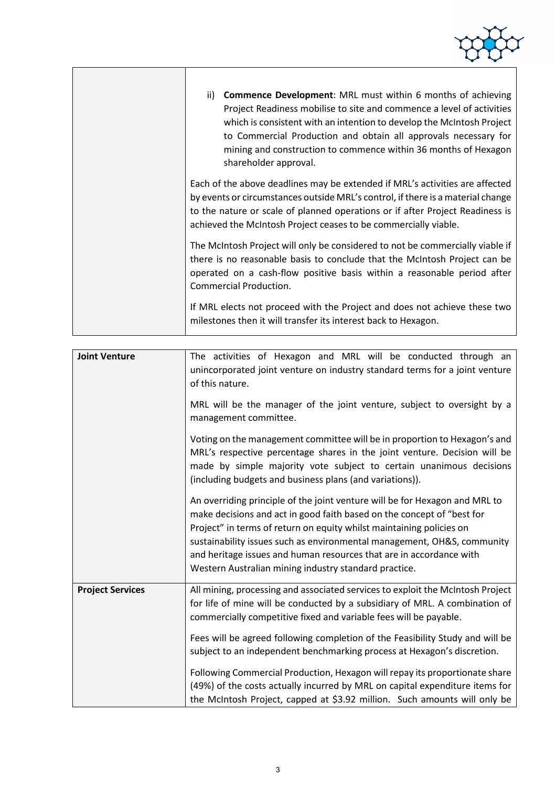| within 6 months of achieving |  |
|------------------------------|--|

| ii) <b>Commence Development:</b> MRL must within 6 months of achieving<br>Project Readiness mobilise to site and commence a level of activities<br>which is consistent with an intention to develop the McIntosh Project<br>to Commercial Production and obtain all approvals necessary for<br>mining and construction to commence within 36 months of Hexagon<br>shareholder approval. |
|-----------------------------------------------------------------------------------------------------------------------------------------------------------------------------------------------------------------------------------------------------------------------------------------------------------------------------------------------------------------------------------------|
| Each of the above deadlines may be extended if MRL's activities are affected<br>by events or circumstances outside MRL's control, if there is a material change<br>to the nature or scale of planned operations or if after Project Readiness is<br>achieved the McIntosh Project ceases to be commercially viable.                                                                     |
| The McIntosh Project will only be considered to not be commercially viable if<br>there is no reasonable basis to conclude that the McIntosh Project can be<br>operated on a cash-flow positive basis within a reasonable period after<br>Commercial Production.                                                                                                                         |
| If MRL elects not proceed with the Project and does not achieve these two<br>milestones then it will transfer its interest back to Hexagon.                                                                                                                                                                                                                                             |

| <b>Joint Venture</b>    | The activities of Hexagon and MRL will be conducted through an<br>unincorporated joint venture on industry standard terms for a joint venture<br>of this nature.                                                                                                                                                                                                                                                                         |
|-------------------------|------------------------------------------------------------------------------------------------------------------------------------------------------------------------------------------------------------------------------------------------------------------------------------------------------------------------------------------------------------------------------------------------------------------------------------------|
|                         | MRL will be the manager of the joint venture, subject to oversight by a<br>management committee.                                                                                                                                                                                                                                                                                                                                         |
|                         | Voting on the management committee will be in proportion to Hexagon's and<br>MRL's respective percentage shares in the joint venture. Decision will be<br>made by simple majority vote subject to certain unanimous decisions<br>(including budgets and business plans (and variations)).                                                                                                                                                |
|                         | An overriding principle of the joint venture will be for Hexagon and MRL to<br>make decisions and act in good faith based on the concept of "best for<br>Project" in terms of return on equity whilst maintaining policies on<br>sustainability issues such as environmental management, OH&S, community<br>and heritage issues and human resources that are in accordance with<br>Western Australian mining industry standard practice. |
| <b>Project Services</b> | All mining, processing and associated services to exploit the McIntosh Project<br>for life of mine will be conducted by a subsidiary of MRL. A combination of<br>commercially competitive fixed and variable fees will be payable.                                                                                                                                                                                                       |
|                         | Fees will be agreed following completion of the Feasibility Study and will be<br>subject to an independent benchmarking process at Hexagon's discretion.                                                                                                                                                                                                                                                                                 |
|                         | Following Commercial Production, Hexagon will repay its proportionate share<br>(49%) of the costs actually incurred by MRL on capital expenditure items for<br>the McIntosh Project, capped at \$3.92 million. Such amounts will only be                                                                                                                                                                                                 |